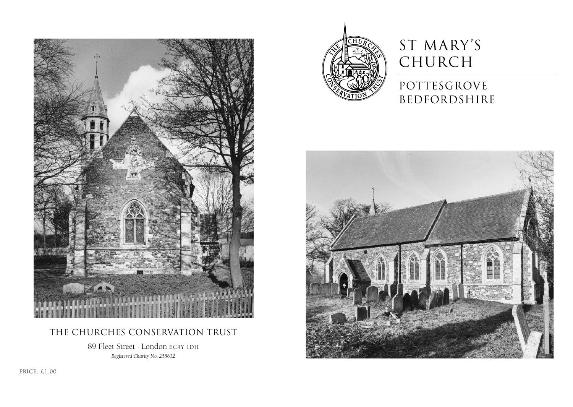

## The Churches Conservation Trust

89 Fleet Street · London EC4Y 1DH *Registered Charity No. 258612*



# ST MARY'S CHURCH

# POTTESGROVE bedfordshire



PRICE: £1.00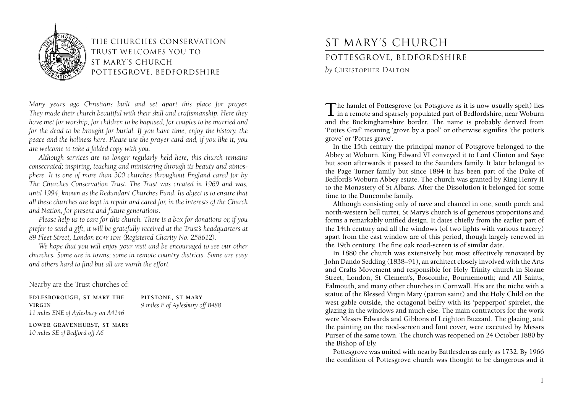

The Churches Conservation Trust welcomes you to st mary's church pottesgrove, bedfordshire

*Many years ago Christians built and set apart this place for prayer. They made their church beautiful with their skill and craftsmanship. Here they have met for worship, for children to be baptised, for couples to be married and for the dead to be brought for burial. If you have time, enjoy the history, the peace and the holiness here. Please use the prayer card and, if you like it, you are welcome to take a folded copy with you.*

*Although services are no longer regularly held here, this church remains consecrated; inspiring, teaching and ministering through its beauty and atmosphere. It is one of more than 300 churches throughout England cared for by The Churches Conservation Trust. The Trust was created in 1969 and was, until 1994, known as the Redundant Churches Fund. Its object is to ensure that all these churches are kept in repair and cared for, in the interests of the Church and Nation, for present and future generations.*

*Please help us to care for this church. There is a box for donations or, if you prefer to send a gift, it will be gratefully received at the Trust's headquarters at 89 Fleet Street, London EC4Y 1DH (Registered Charity No. 258612).*

*We hope that you will enjoy your visit and be encouraged to see our other churches. Some are in towns; some in remote country districts. Some are easy and others hard to find but all are worth the effort.*

Nearby are the Trust churches of:

**EDLESBOROUGH, ST MARY THE VIRGIN** *11 miles ENE of Aylesbury on A4146* **PITSTONE, ST MARY** *9 miles E of Aylesbury off B488*

**LOWER GRAVENHURST, ST MARY** *10 miles SE of Bedford off A6*

# st mary's church

## pottesgrove, bedfordshire

*by* CHRISTOPHER DALTON

The hamlet of Pottesgrove (or Potsgrove as it is now usually spelt) lies  $\perp$  in a remote and sparsely populated part of Bedfordshire, near Woburn and the Buckinghamshire border. The name is probably derived from 'Pottes Graf' meaning 'grove by a pool' or otherwise signifies 'the potter's grove' or 'Pottes grave'.

In the 15th century the principal manor of Potsgrove belonged to the Abbey at Woburn. King Edward VI conveyed it to Lord Clinton and Saye but soon afterwards it passed to the Saunders family. It later belonged to the Page Turner family but since 1884 it has been part of the Duke of Bedford's Woburn Abbey estate. The church was granted by King Henry II to the Monastery of St Albans. After the Dissolution it belonged for some time to the Duncombe family.

Although consisting only of nave and chancel in one, south porch and north-western bell turret, St Mary's church is of generous proportions and forms a remarkably unified design. It dates chiefly from the earlier part of the 14th century and all the windows (of two lights with various tracery) apart from the east window are of this period, though largely renewed in the 19th century. The fine oak rood-screen is of similar date.

In 1880 the church was extensively but most effectively renovated by John Dando Sedding (1838–91), an architect closely involved with the Arts and Crafts Movement and responsible for Holy Trinity church in Sloane Street, London; St Clement's, Boscombe, Bournemouth; and All Saints, Falmouth, and many other churches in Cornwall. His are the niche with a statue of the Blessed Virgin Mary (patron saint) and the Holy Child on the west gable outside, the octagonal belfry with its 'pepperpot' spirelet, the glazing in the windows and much else. The main contractors for the work were Messrs Edwards and Gibbons of Leighton Buzzard. The glazing, and the painting on the rood-screen and font cover, were executed by Messrs Purser of the same town. The church was reopened on 24 October 1880 by the Bishop of Ely.

Pottesgrove was united with nearby Battlesden as early as 1732. By 1966 the condition of Pottesgrove church was thought to be dangerous and it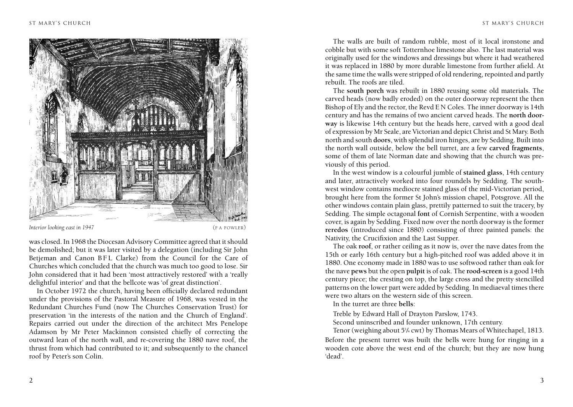

#### *Interior looking east in 1947* (FA FOWLER)

was closed. In 1968 the Diocesan Advisory Committee agreed that itshould be demolished; but it was later visited by a delegation (including Sir John Betjeman and Canon BFL Clarke) from the Council for the Care of Churches which concluded that the church was much too good to lose. Sir John considered that it had been 'most attractively restored' with a 'really delightful interior' and that the bellcote was 'of great distinction'.

In October 1972 the church, having been officially declared redundant under the provisions of the Pastoral Measure of 1968, was vested in the Redundant Churches Fund (now The Churches Conservation Trust) for preservation 'in the interests of the nation and the Church of England'. Repairs carried out under the direction of the architect Mrs Penelope Adamson by Mr Peter Mackinnon consisted chiefly of correcting the outward lean of the north wall, and re-covering the 1880 nave roof, the thrust from which had contributed to it; and subsequently to the chancel roof by Peter's son Colin.

The walls are built of random rubble, most of it local ironstone and cobble but with some soft Totternhoe limestone also. The last material was originally used for the windows and dressings but where it had weathered it was replaced in 1880 by more durable limestone from further afield. At the same time the walls were stripped of old rendering, repointed and partly rebuilt. The roofs are tiled.

The **south porch** was rebuilt in 1880 reusing some old materials. The carved heads (now badly eroded) on the outer doorway represent the then Bishop of Ely and the rector, the Revd E N Coles. The inner doorway is 14th century and has the remains of two ancient carved heads. The **north doorway** is likewise 14th century but the heads here, carved with a good deal of expression by Mr Seale, are Victorian and depict Christ and St Mary. Both north and south **doors**, with splendid iron hinges, are by Sedding. Built into the north wall outside, below the bell turret, are a few **carved fragments**, some of them of late Norman date and showing that the church was previously of this period.

In the west window is a colourful jumble of **stained glass**, 14th century and later, attractively worked into four roundels by Sedding. The southwest window contains mediocre stained glass of the mid-Victorian period, brought here from the former St John's mission chapel, Potsgrove. All the other windows contain plain glass, prettily patterned to suit the tracery, by Sedding. The simple octagonal **font** of Cornish Serpentine, with a wooden cover, is again by Sedding. Fixed now over the north doorway is the former **reredos** (introduced since 1880) consisting of three painted panels: the Nativity, the Crucifixion and the Last Supper.

The oak **roof**, or rather ceiling as it now is, over the nave dates from the 15th or early 16th century but a high-pitched roof was added above it in 1880. One economy made in 1880 was to use softwood rather than oak for the nave **pews** but the open **pulpit** is of oak. The **rood-screen** is a good 14th century piece; the cresting on top, the large cross and the pretty stencilled patterns on the lower part were added by Sedding. In mediaeval times there were two altars on the western side of this screen.

In the turret are three **bells**:

Treble by Edward Hall of Drayton Parslow, 1743.

Second uninscribed and founder unknown, 17th century.

Tenor (weighing about 5¼ cwt) by Thomas Mears of Whitechapel, 1813. Before the present turret was built the bells were hung for ringing in a wooden cote above the west end of the church; but they are now hung 'dead'.